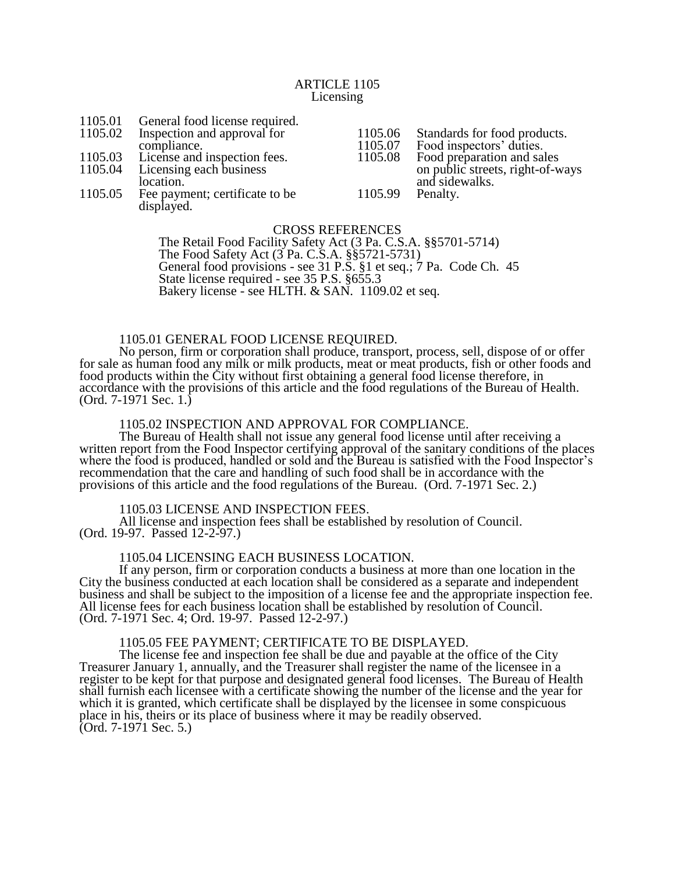## ARTICLE 1105 Licensing

| 1105.01 | General food license required.               |         |                                                    |
|---------|----------------------------------------------|---------|----------------------------------------------------|
| 1105.02 | Inspection and approval for                  | 1105.06 | Standards for food products.                       |
|         | compliance.                                  | 1105.07 | Food inspectors' duties.                           |
|         | 1105.03 License and inspection fees.         | 1105.08 | Food preparation and sales                         |
| 1105.04 | Licensing each business<br>location.         |         | on public streets, right-of-ways<br>and sidewalks. |
| 1105.05 | Fee payment; certificate to be<br>displayed. | 1105.99 | Penalty.                                           |

CROSS REFERENCES The Retail Food Facility Safety Act (3 Pa. C.S.A. §§5701-5714) The Food Safety Act (3 Pa. C.S.A. §§5721-5731) General food provisions - see 31 P.S. §1 et seq.; 7 Pa. Code Ch. 45 State license required - see 35 P.S. §655.3 Bakery license - see HLTH. & SAN. 1109.02 et seq.

# 1105.01 GENERAL FOOD LICENSE REQUIRED.

No person, firm or corporation shall produce, transport, process, sell, dispose of or offer for sale as human food any milk or milk products, meat or meat products, fish or other foods and food products within the City without first obtaining a general food license therefore, in accordance with the provisions of this article and the food regulations of the Bureau of Health. (Ord. 7-1971 Sec. 1.)

## 1105.02 INSPECTION AND APPROVAL FOR COMPLIANCE.

The Bureau of Health shall not issue any general food license until after receiving a written report from the Food Inspector certifying approval of the sanitary conditions of the places where the food is produced, handled or sold and the Bureau is satisfied with the Food Inspector's recommendation that the care and handling of such food shall be in accordance with the provisions of this article and the food regulations of the Bureau. (Ord. 7-1971 Sec. 2.)

#### 1105.03 LICENSE AND INSPECTION FEES.

All license and inspection fees shall be established by resolution of Council. (Ord. 19-97. Passed 12-2-97.)

# 1105.04 LICENSING EACH BUSINESS LOCATION.

If any person, firm or corporation conducts a business at more than one location in the City the business conducted at each location shall be considered as a separate and independent business and shall be subject to the imposition of a license fee and the appropriate inspection fee. All license fees for each business location shall be established by resolution of Council. (Ord. 7-1971 Sec. 4; Ord. 19-97. Passed 12-2-97.)

# 1105.05 FEE PAYMENT; CERTIFICATE TO BE DISPLAYED.

The license fee and inspection fee shall be due and payable at the office of the City Treasurer January 1, annually, and the Treasurer shall register the name of the licensee in a register to be kept for that purpose and designated general food licenses. The Bureau of Health shall furnish each licensee with a certificate showing the number of the license and the year for which it is granted, which certificate shall be displayed by the licensee in some conspicuous place in his, theirs or its place of business where it may be readily observed. (Ord. 7-1971 Sec. 5.)